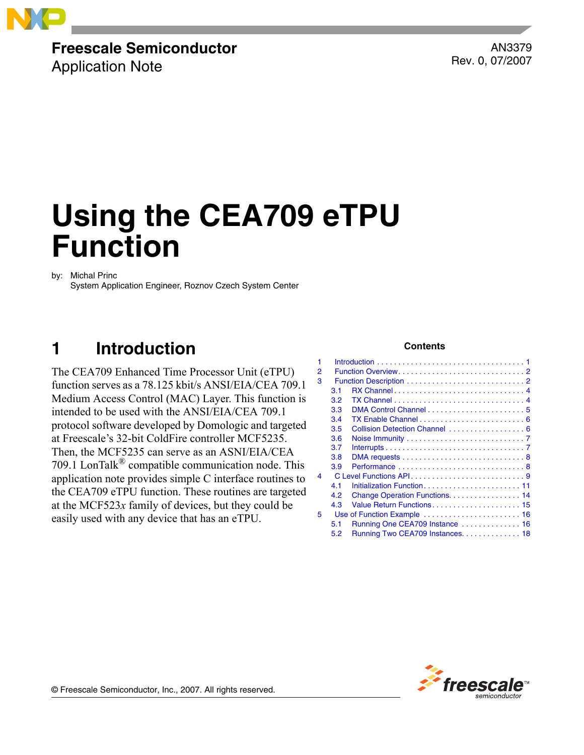

## **Freescale Semiconductor**

Application Note

 AN3379 Rev. 0, 07/2007

# **Using the CEA709 eTPU Function**

by: Michal Princ

System Application Engineer, Roznov Czech System Center

## <span id="page-0-0"></span>**1 Introduction**

The CEA709 Enhanced Time Processor Unit (eTPU) function serves as a 78.125 kbit/s ANSI/EIA/CEA 709.1 Medium Access Control (MAC) Layer. This function is intended to be used with the ANSI/EIA/CEA 709.1 protocol software developed by Domologic and targeted at Freescale's 32-bit ColdFire controller MCF5235. Then, the MCF5235 can serve as an ASNI/EIA/CEA 709.1 LonTalk® compatible communication node. This application note provides simple C interface routines to the CEA709 eTPU function. These routines are targeted at the MCF523*x* family of devices, but they could be easily used with any device that has an eTPU.

#### **Contents**

| 1 |     |                                  |  |
|---|-----|----------------------------------|--|
| 2 |     |                                  |  |
| 3 |     |                                  |  |
|   | 3.1 |                                  |  |
|   | 3.2 |                                  |  |
|   | 3.3 | DMA Control Channel 5            |  |
|   | 3.4 |                                  |  |
|   | 3.5 |                                  |  |
|   | 3.6 |                                  |  |
|   | 3.7 |                                  |  |
|   | 3.8 |                                  |  |
|   | 3.9 | Performance 8                    |  |
| 4 |     |                                  |  |
|   | 4.1 |                                  |  |
|   | 4.2 | Change Operation Functions. 14   |  |
|   | 4.3 |                                  |  |
| 5 |     |                                  |  |
|   | 5.1 | Running One CEA709 Instance  16  |  |
|   | 5.2 | Running Two CEA709 Instances. 18 |  |



© Freescale Semiconductor, Inc., 2007. All rights reserved.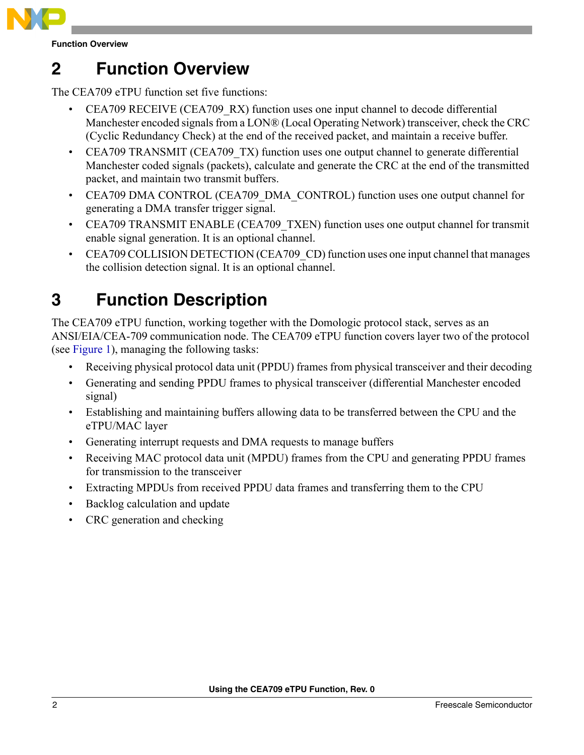

**Function Overview**

## <span id="page-1-0"></span>**2 Function Overview**

The CEA709 eTPU function set five functions:

- CEA709 RECEIVE (CEA709 RX) function uses one input channel to decode differential Manchester encoded signals from a LON® (Local Operating Network) transceiver, check the CRC (Cyclic Redundancy Check) at the end of the received packet, and maintain a receive buffer.
- CEA709 TRANSMIT (CEA709 TX) function uses one output channel to generate differential Manchester coded signals (packets), calculate and generate the CRC at the end of the transmitted packet, and maintain two transmit buffers.
- CEA709 DMA CONTROL (CEA709\_DMA\_CONTROL) function uses one output channel for generating a DMA transfer trigger signal.
- CEA709 TRANSMIT ENABLE (CEA709 TXEN) function uses one output channel for transmit enable signal generation. It is an optional channel.
- CEA709 COLLISION DETECTION (CEA709\_CD) function uses one input channel that manages the collision detection signal. It is an optional channel.

## <span id="page-1-1"></span>**3 Function Description**

The CEA709 eTPU function, working together with the Domologic protocol stack, serves as an ANSI/EIA/CEA-709 communication node. The CEA709 eTPU function covers layer two of the protocol (see [Figure 1\)](#page-2-0), managing the following tasks:

- Receiving physical protocol data unit (PPDU) frames from physical transceiver and their decoding
- Generating and sending PPDU frames to physical transceiver (differential Manchester encoded signal)
- Establishing and maintaining buffers allowing data to be transferred between the CPU and the eTPU/MAC layer
- Generating interrupt requests and DMA requests to manage buffers
- Receiving MAC protocol data unit (MPDU) frames from the CPU and generating PPDU frames for transmission to the transceiver
- Extracting MPDUs from received PPDU data frames and transferring them to the CPU
- Backlog calculation and update
- CRC generation and checking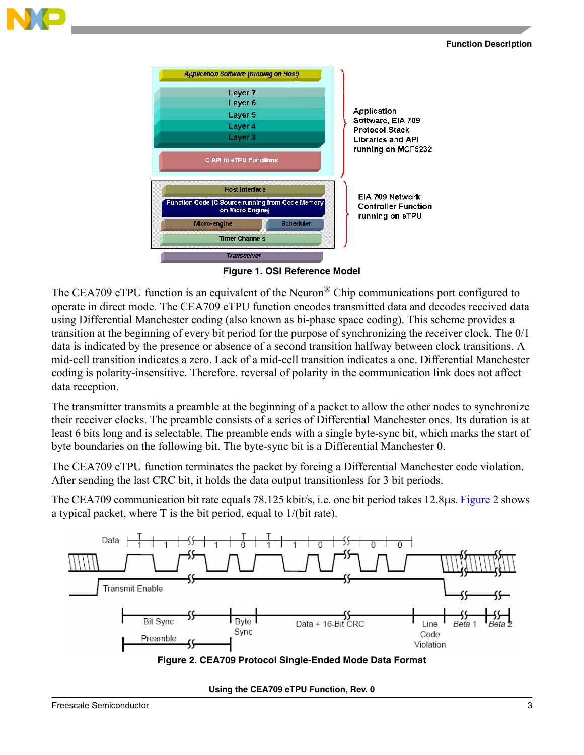

**Figure 1. OSI Reference Model**

<span id="page-2-0"></span>The CEA709 eTPU function is an equivalent of the Neuron<sup>®</sup> Chip communications port configured to operate in direct mode. The CEA709 eTPU function encodes transmitted data and decodes received data using Differential Manchester coding (also known as bi-phase space coding). This scheme provides a transition at the beginning of every bit period for the purpose of synchronizing the receiver clock. The 0/1 data is indicated by the presence or absence of a second transition halfway between clock transitions. A mid-cell transition indicates a zero. Lack of a mid-cell transition indicates a one. Differential Manchester coding is polarity-insensitive. Therefore, reversal of polarity in the communication link does not affect data reception.

The transmitter transmits a preamble at the beginning of a packet to allow the other nodes to synchronize their receiver clocks. The preamble consists of a series of Differential Manchester ones. Its duration is at least 6 bits long and is selectable. The preamble ends with a single byte-sync bit, which marks the start of byte boundaries on the following bit. The byte-sync bit is a Differential Manchester 0.

The CEA709 eTPU function terminates the packet by forcing a Differential Manchester code violation. After sending the last CRC bit, it holds the data output transitionless for 3 bit periods.

The CEA709 communication bit rate equals 78.125 kbit/s, i.e. one bit period takes 12.8μs. [Figure 2](#page-2-1) shows a typical packet, where T is the bit period, equal to 1/(bit rate).

<span id="page-2-1"></span>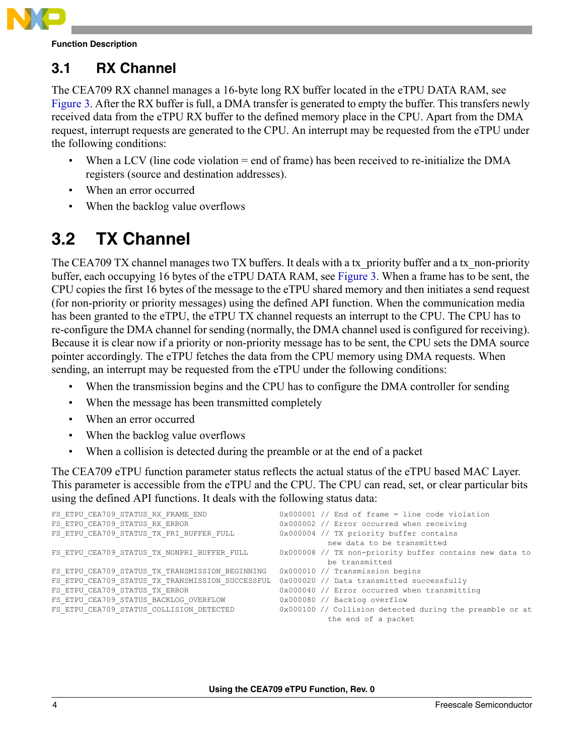

### <span id="page-3-0"></span>**3.1 RX Channel**

The CEA709 RX channel manages a 16-byte long RX buffer located in the eTPU DATA RAM, see [Figure 3](#page-4-1). After the RX buffer is full, a DMA transfer is generated to empty the buffer. This transfers newly received data from the eTPU RX buffer to the defined memory place in the CPU. Apart from the DMA request, interrupt requests are generated to the CPU. An interrupt may be requested from the eTPU under the following conditions:

- When a LCV (line code violation = end of frame) has been received to re-initialize the DMA registers (source and destination addresses).
- When an error occurred
- When the backlog value overflows

## <span id="page-3-1"></span>**3.2 TX Channel**

The CEA709 TX channel manages two TX buffers. It deals with a tx\_priority buffer and a tx\_non-priority buffer, each occupying 16 bytes of the eTPU DATA RAM, see [Figure 3.](#page-4-1) When a frame has to be sent, the CPU copies the first 16 bytes of the message to the eTPU shared memory and then initiates a send request (for non-priority or priority messages) using the defined API function. When the communication media has been granted to the eTPU, the eTPU TX channel requests an interrupt to the CPU. The CPU has to re-configure the DMA channel for sending (normally, the DMA channel used is configured for receiving). Because it is clear now if a priority or non-priority message has to be sent, the CPU sets the DMA source pointer accordingly. The eTPU fetches the data from the CPU memory using DMA requests. When sending, an interrupt may be requested from the eTPU under the following conditions:

- When the transmission begins and the CPU has to configure the DMA controller for sending
- When the message has been transmitted completely
- When an error occurred
- When the backlog value overflows
- When a collision is detected during the preamble or at the end of a packet

The CEA709 eTPU function parameter status reflects the actual status of the eTPU based MAC Layer. This parameter is accessible from the eTPU and the CPU. The CPU can read, set, or clear particular bits using the defined API functions. It deals with the following status data:

| FS ETPU CEA709 STATUS RX FRAME END                                                         | $0x000001$ // End of frame = line code violation         |
|--------------------------------------------------------------------------------------------|----------------------------------------------------------|
| FS ETPU CEA709 STATUS RX ERROR                                                             | 0x000002 // Error occurred when receiving                |
| FS ETPU CEA709 STATUS TX PRI BUFFER FULL                                                   | 0x000004 // TX priority buffer contains                  |
|                                                                                            | new data to be transmitted                               |
| FS ETPU CEA709 STATUS TX NONPRI BUFFER FULL                                                | 0x000008 // TX non-priority buffer contains new data to  |
|                                                                                            | be transmitted                                           |
| FS ETPU CEA709 STATUS TX TRANSMISSION BEGINNING                                            | 0x000010 // Transmission begins                          |
| FS ETPU CEA709 STATUS TX TRANSMISSION SUCCESSFUL 0x000020 // Data transmitted successfully |                                                          |
| FS ETPU CEA709 STATUS TX ERROR                                                             | 0x000040 // Error occurred when transmitting             |
| FS ETPU CEA709 STATUS BACKLOG OVERFLOW                                                     | 0x000080 // Backlog overflow                             |
| FS ETPU CEA709 STATUS COLLISION DETECTED                                                   | 0x000100 // Collision detected during the preamble or at |
|                                                                                            | the end of a packet                                      |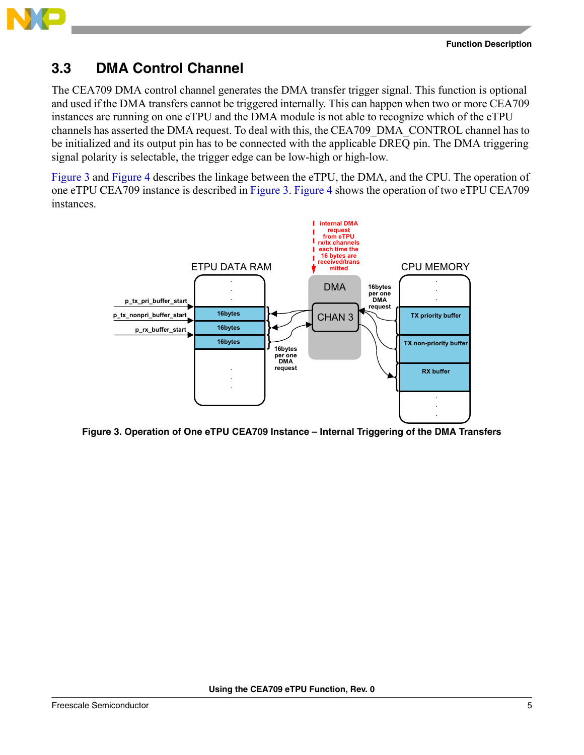

### <span id="page-4-0"></span>**3.3 DMA Control Channel**

The CEA709 DMA control channel generates the DMA transfer trigger signal. This function is optional and used if the DMA transfers cannot be triggered internally. This can happen when two or more CEA709 instances are running on one eTPU and the DMA module is not able to recognize which of the eTPU channels has asserted the DMA request. To deal with this, the CEA709\_DMA\_CONTROL channel has to be initialized and its output pin has to be connected with the applicable DREQ pin. The DMA triggering signal polarity is selectable, the trigger edge can be low-high or high-low.

[Figure 3](#page-4-1) and [Figure 4](#page-5-2) describes the linkage between the eTPU, the DMA, and the CPU. The operation of one eTPU CEA709 instance is described in [Figure 3.](#page-4-1) [Figure 4](#page-5-2) shows the operation of two eTPU CEA709 instances.



<span id="page-4-1"></span>**Figure 3. Operation of One eTPU CEA709 Instance – Internal Triggering of the DMA Transfers**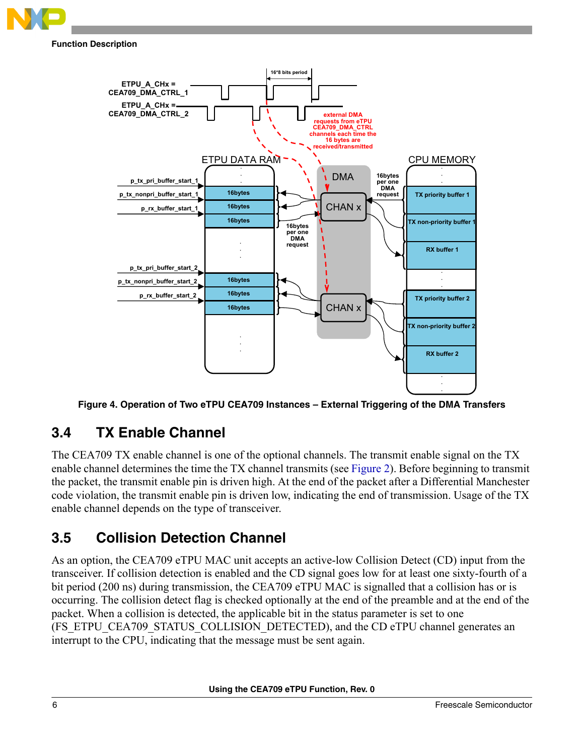



**Figure 4. Operation of Two eTPU CEA709 Instances – External Triggering of the DMA Transfers**

#### <span id="page-5-2"></span><span id="page-5-0"></span>**3.4 TX Enable Channel**

The CEA709 TX enable channel is one of the optional channels. The transmit enable signal on the TX enable channel determines the time the TX channel transmits (see [Figure 2\)](#page-2-1). Before beginning to transmit the packet, the transmit enable pin is driven high. At the end of the packet after a Differential Manchester code violation, the transmit enable pin is driven low, indicating the end of transmission. Usage of the TX enable channel depends on the type of transceiver.

### <span id="page-5-1"></span>**3.5 Collision Detection Channel**

As an option, the CEA709 eTPU MAC unit accepts an active-low Collision Detect (CD) input from the transceiver. If collision detection is enabled and the CD signal goes low for at least one sixty-fourth of a bit period (200 ns) during transmission, the CEA709 eTPU MAC is signalled that a collision has or is occurring. The collision detect flag is checked optionally at the end of the preamble and at the end of the packet. When a collision is detected, the applicable bit in the status parameter is set to one (FS\_ETPU\_CEA709\_STATUS\_COLLISION\_DETECTED), and the CD eTPU channel generates an interrupt to the CPU, indicating that the message must be sent again.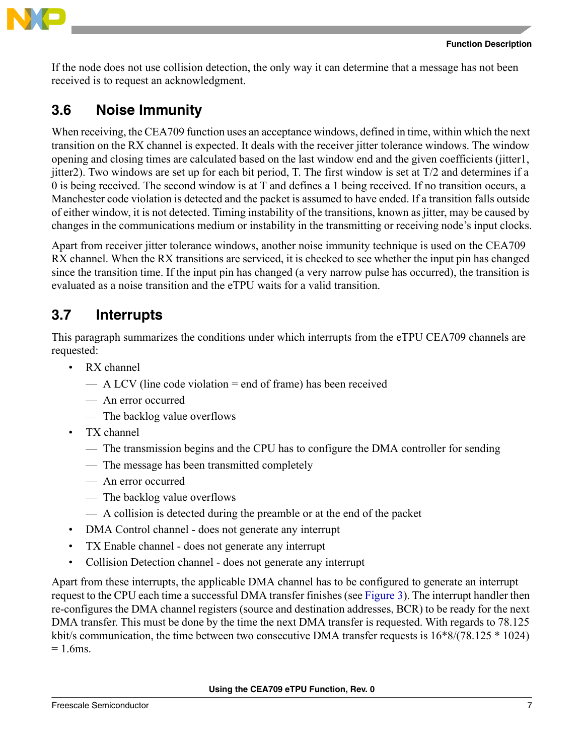

If the node does not use collision detection, the only way it can determine that a message has not been received is to request an acknowledgment.

### <span id="page-6-0"></span>**3.6 Noise Immunity**

When receiving, the CEA709 function uses an acceptance windows, defined in time, within which the next transition on the RX channel is expected. It deals with the receiver jitter tolerance windows. The window opening and closing times are calculated based on the last window end and the given coefficients (jitter1, jitter2). Two windows are set up for each bit period, T. The first window is set at T/2 and determines if a 0 is being received. The second window is at T and defines a 1 being received. If no transition occurs, a Manchester code violation is detected and the packet is assumed to have ended. If a transition falls outside of either window, it is not detected. Timing instability of the transitions, known as jitter, may be caused by changes in the communications medium or instability in the transmitting or receiving node's input clocks.

Apart from receiver jitter tolerance windows, another noise immunity technique is used on the CEA709 RX channel. When the RX transitions are serviced, it is checked to see whether the input pin has changed since the transition time. If the input pin has changed (a very narrow pulse has occurred), the transition is evaluated as a noise transition and the eTPU waits for a valid transition.

### <span id="page-6-1"></span>**3.7 Interrupts**

This paragraph summarizes the conditions under which interrupts from the eTPU CEA709 channels are requested:

- RX channel
	- $-$  A LCV (line code violation = end of frame) has been received
	- An error occurred
	- The backlog value overflows
- TX channel
	- The transmission begins and the CPU has to configure the DMA controller for sending
	- The message has been transmitted completely
	- An error occurred
	- The backlog value overflows
	- A collision is detected during the preamble or at the end of the packet
- DMA Control channel does not generate any interrupt
- TX Enable channel does not generate any interrupt
- Collision Detection channel does not generate any interrupt

Apart from these interrupts, the applicable DMA channel has to be configured to generate an interrupt request to the CPU each time a successful DMA transfer finishes (see [Figure 3\)](#page-4-1). The interrupt handler then re-configures the DMA channel registers (source and destination addresses, BCR) to be ready for the next DMA transfer. This must be done by the time the next DMA transfer is requested. With regards to 78.125 kbit/s communication, the time between two consecutive DMA transfer requests is 16\*8/(78.125 \* 1024)  $= 1.6$ ms.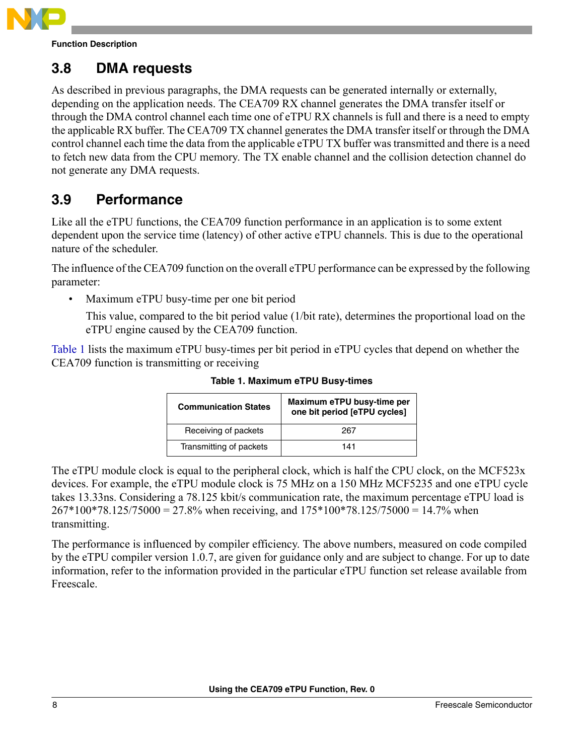

### <span id="page-7-0"></span>**3.8 DMA requests**

As described in previous paragraphs, the DMA requests can be generated internally or externally, depending on the application needs. The CEA709 RX channel generates the DMA transfer itself or through the DMA control channel each time one of eTPU RX channels is full and there is a need to empty the applicable RX buffer. The CEA709 TX channel generates the DMA transfer itself or through the DMA control channel each time the data from the applicable eTPU TX buffer was transmitted and there is a need to fetch new data from the CPU memory. The TX enable channel and the collision detection channel do not generate any DMA requests.

### <span id="page-7-1"></span>**3.9 Performance**

Like all the eTPU functions, the CEA709 function performance in an application is to some extent dependent upon the service time (latency) of other active eTPU channels. This is due to the operational nature of the scheduler.

The influence of the CEA709 function on the overall eTPU performance can be expressed by the following parameter:

• Maximum eTPU busy-time per one bit period

This value, compared to the bit period value (1/bit rate), determines the proportional load on the eTPU engine caused by the CEA709 function.

<span id="page-7-2"></span>[Table 1](#page-7-2) lists the maximum eTPU busy-times per bit period in eTPU cycles that depend on whether the CEA709 function is transmitting or receiving

| <b>Communication States</b> | Maximum eTPU busy-time per<br>one bit period [eTPU cycles] |
|-----------------------------|------------------------------------------------------------|
| Receiving of packets        | 267                                                        |
| Transmitting of packets     | 141                                                        |

**Table 1. Maximum eTPU Busy-times**

The eTPU module clock is equal to the peripheral clock, which is half the CPU clock, on the MCF523x devices. For example, the eTPU module clock is 75 MHz on a 150 MHz MCF5235 and one eTPU cycle takes 13.33ns. Considering a 78.125 kbit/s communication rate, the maximum percentage eTPU load is  $267*100*78.125/75000 = 27.8\%$  when receiving, and  $175*100*78.125/75000 = 14.7\%$  when transmitting.

The performance is influenced by compiler efficiency. The above numbers, measured on code compiled by the eTPU compiler version 1.0.7, are given for guidance only and are subject to change. For up to date information, refer to the information provided in the particular eTPU function set release available from Freescale.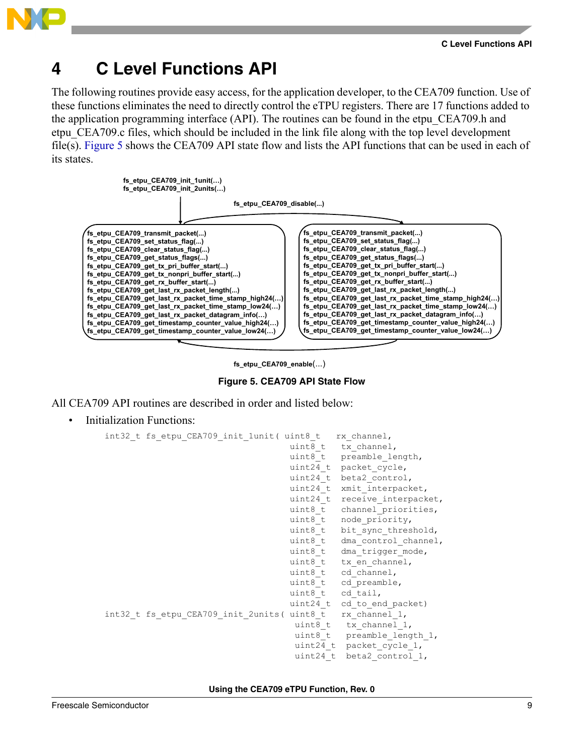

<span id="page-8-0"></span>The following routines provide easy access, for the application developer, to the CEA709 function. Use of these functions eliminates the need to directly control the eTPU registers. There are 17 functions added to the application programming interface (API). The routines can be found in the etpu\_CEA709.h and etpu\_CEA709.c files, which should be included in the link file along with the top level development file(s). [Figure 5](#page-8-1) shows the CEA709 API state flow and lists the API functions that can be used in each of its states.



**fs\_etpu\_CEA709\_enable**(...)

**Figure 5. CEA709 API State Flow**

<span id="page-8-1"></span>All CEA709 API routines are described in order and listed below:

• Initialization Functions:

```
int32 t fs etpu CEA709 init 1unit ( uint8 t rx channel,
                                      uint8 t tx channel,
                                      uint8 t  preamble length,
                                      uint24 t packet cycle,
                                      uint24 t beta2 control,
                                       uint24_t xmit_interpacket,
                                       uint24_t receive_interpacket,
                                      uint8_t channel_priorities,<br>uint8 t node priority,
                                                node priority,
                                      uint8 t bit sync threshold,
                                      uint8 t dma control channel,
                                      uint8 t dma trigger mode,
                                      uint8 t tx en channel,
                                      uint8 t cd channel,
                                      uint8 t cd preamble,
                                      uint8 t cd tail,
                                      uint24 t cd to end packet)
int32 t fs etpu CEA709 init 2units ( uint8 t rx channel 1,
                                       uint8_t tx_channel_1,<br>uint8 t preamble_leng
                                                preamble length 1,
                                       uint24 t packet cycle 1,
                                       uint24 t beta2 control 1,
```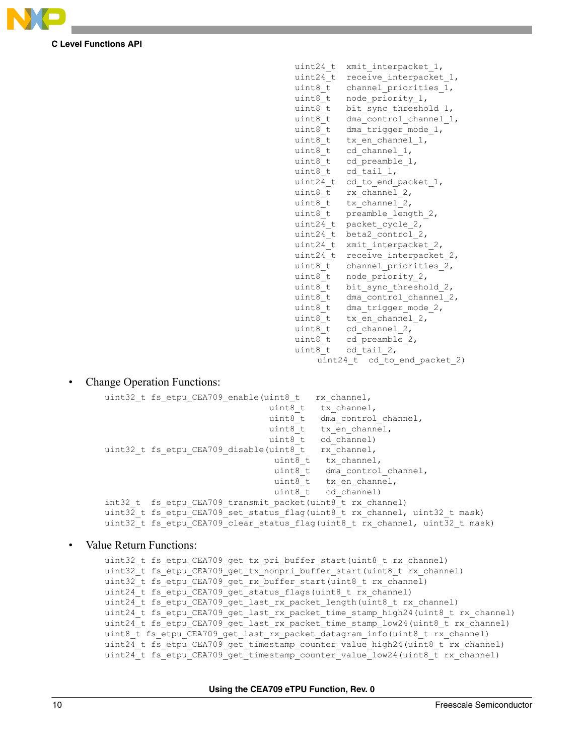

```
uint24 t xmit interpacket 1,
uint24 t receive interpacket 1,
uint8 t channel priorities 1,
uint8 t node priority 1,
uint8 t bit sync threshold 1,
 uint8_t dma_control_channel_1,
uint8 t dma trigger mode 1,
uint8 t tx en channel 1,
uint8 t cd channel 1,
uint8_t cd_preamble_1,<br>uint8 t cd tail 1,
          cd tail 1,
 uint24_t cd_to_end_packet_1,
uint8 t rx_channel_2,
uint8 t tx channel 2,
uint8 t  preamble length 2,
uint24 t packet cycle 2,
uint24 t beta2 control 2,
 uint24_t xmit_interpacket_2,
uint24 t receive interpacket 2,
uint8 \overline{t} channel_priorities_2,
uint8\overline{\phantom{a}}t node_priority_2,<br>uint8\overline{\phantom{a}}t bit sync_thresho
uint8_t bit_sync_threshold_2,<br>uint8 t dma control channel 2
          dma control channel 2,
 uint8_t dma_trigger_mode_2,
uint8 t tx en channel 2,
uint8 t cd channel 2,
uint8 t cd preamble 2,
uint8 t cd tail 2,
     uint24 t cd to end packet 2)
```
#### Change Operation Functions:

```
uint32 t fs etpu CEA709 enable(uint8 t rx channel,
                                uint8 t tx channel,
                                uint8 t dma control channel,
                                uint8^{\overline{t}} tx en channel,
                                uint8 t cd channel)
uint32 t fs etpu CEA709 disable(uint8 t rx channel,
                                 uint8 t tx channel,
                                 uint8 t dma control channel,
                                 uint8 t tx en channel,
                                 uint8 t cd channel)
int32 t fs etpu CEA709 transmit packet(uint8 t rx channel)
uint32 t fs etpu CEA709 set status flag(uint8 t rx channel, uint32 t mask)
uint32 t fs etpu CEA709 clear status flag(uint8 t rx channel, uint32 t mask)
```
#### • Value Return Functions:

```
uint32 t fs etpu CEA709 get tx pri buffer start(uint8 t rx channel)
uint32 t fs etpu CEA709 get tx nonpri buffer start(uint8 t rx channel)
uint32 t fs etpu CEA709 get rx buffer start(uint8 t rx channel)
uint24 t fs etpu CEA709 get status flags(uint8 t rx channel)
uint24_t fs_etpu_CEA709_get_last_rx_packet_length(uint8_t rx_channel)
uint24_t fs_etpu_CEA709_get_last_rx_packet_time_stamp_high24(uint8_t rx_channel)
uint24 t fs etpu CEA709 get last rx packet time stamp low24(uint8 t rx channel)
uint8_t fs_etpu_CEA709_get_last_rx_packet_datagram_info(uint8_t rx_channel)
uint24_t fs_etpu_CEA709_get_timestamp_counter_value_high24(uint8_t rx_channel)
uint24_t fs_etpu_CEA709_get_timestamp_counter_value_low24(uint8_t rx_channel)
```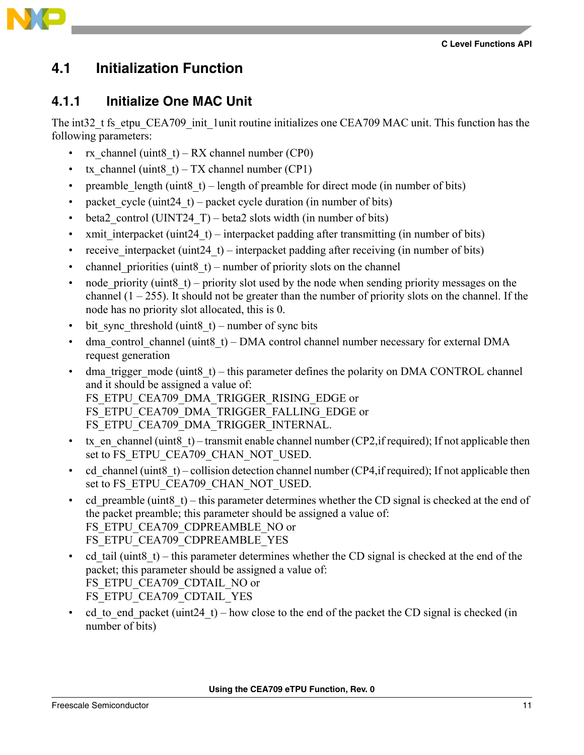



#### <span id="page-10-0"></span>**4.1 Initialization Function**

#### **4.1.1 Initialize One MAC Unit**

The int32 t fs etpu CEA709 init 1unit routine initializes one CEA709 MAC unit. This function has the following parameters:

- rx\_channel (uint8\_t) RX channel number (CP0)
- tx\_channel (uint8\_t) TX channel number (CP1)
- preamble length (uint8 t) length of preamble for direct mode (in number of bits)
- packet cycle (uint24 t) packet cycle duration (in number of bits)
- beta2 control (UINT24 T) beta2 slots width (in number of bits)
- xmit interpacket (uint24  $t$ ) interpacket padding after transmitting (in number of bits)
- receive interpacket (uint24 t) interpacket padding after receiving (in number of bits)
- channel priorities (uint8  $t$ ) number of priority slots on the channel
- node priority (uint8  $t$ ) priority slot used by the node when sending priority messages on the channel  $(1 – 255)$ . It should not be greater than the number of priority slots on the channel. If the node has no priority slot allocated, this is 0.
- bit sync threshold (uint8 t) number of sync bits
- dma\_control\_channel (uint8\_t) DMA control channel number necessary for external DMA request generation
- dma trigger mode (uint8 t) this parameter defines the polarity on DMA CONTROL channel and it should be assigned a value of: FS\_ETPU\_CEA709\_DMA\_TRIGGER\_RISING\_EDGE or FS\_ETPU\_CEA709\_DMA\_TRIGGER\_FALLING\_EDGE or FS\_ETPU\_CEA709\_DMA\_TRIGGER\_INTERNAL.
- tx en channel (uint8 t) transmit enable channel number (CP2, if required); If not applicable then set to FS\_ETPU\_CEA709\_CHAN\_NOT\_USED.
- cd channel (uint8 t) collision detection channel number (CP4, if required); If not applicable then set to FS\_ETPU\_CEA709\_CHAN\_NOT\_USED.
- cd preamble (uint8 t) this parameter determines whether the CD signal is checked at the end of the packet preamble; this parameter should be assigned a value of: FS\_ETPU\_CEA709\_CDPREAMBLE\_NO or FS ETPU CEA709 CDPREAMBLE YES
- cd tail (uint8 t) this parameter determines whether the CD signal is checked at the end of the packet; this parameter should be assigned a value of: FS\_ETPU\_CEA709\_CDTAIL\_NO or FS\_ETPU\_CEA709\_CDTAIL\_YES
- cd to end packet (uint24 t) how close to the end of the packet the CD signal is checked (in number of bits)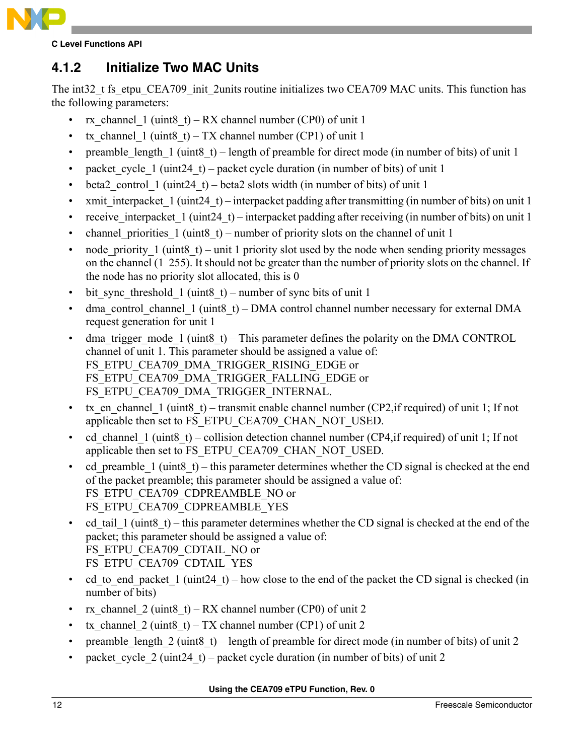

#### **4.1.2 Initialize Two MAC Units**

The int32 t fs etpu CEA709 init 2units routine initializes two CEA709 MAC units. This function has the following parameters:

- rx\_channel\_1 (uint8\_t) RX channel number (CP0) of unit 1
- tx\_channel\_1 (uint8\_t) TX channel number (CP1) of unit 1
- preamble length 1 (uint8 t) length of preamble for direct mode (in number of bits) of unit 1
- packet cycle 1 (uint24 t) packet cycle duration (in number of bits) of unit 1
- beta2 control 1 (uint24 t) beta2 slots width (in number of bits) of unit 1
- xmit interpacket  $1$  (uint24 t) interpacket padding after transmitting (in number of bits) on unit 1
- receive interpacket  $1$  (uint24 t) interpacket padding after receiving (in number of bits) on unit 1
- channel priorities  $1$  (uint8 t) number of priority slots on the channel of unit 1
- node priority 1 (uint8 t) unit 1 priority slot used by the node when sending priority messages on the channel (1 255). It should not be greater than the number of priority slots on the channel. If the node has no priority slot allocated, this is 0
- bit sync threshold 1 (uint8 t) number of sync bits of unit 1
- dma\_control\_channel\_1 (uint8\_t) DMA control channel number necessary for external DMA request generation for unit 1
- dma trigger mode  $1$  (uint8 t) This parameter defines the polarity on the DMA CONTROL channel of unit 1. This parameter should be assigned a value of: FS\_ETPU\_CEA709\_DMA\_TRIGGER\_RISING\_EDGE or FS\_ETPU\_CEA709\_DMA\_TRIGGER\_FALLING\_EDGE or FS\_ETPU\_CEA709\_DMA\_TRIGGER\_INTERNAL.
- tx en channel 1 (uint8 t) transmit enable channel number (CP2, if required) of unit 1; If not applicable then set to FS\_ETPU\_CEA709\_CHAN\_NOT\_USED.
- cd channel 1 (uint8 t) collision detection channel number (CP4,if required) of unit 1; If not applicable then set to FS\_ETPU\_CEA709\_CHAN\_NOT\_USED.
- cd preamble  $1$  (uint8 t) this parameter determines whether the CD signal is checked at the end of the packet preamble; this parameter should be assigned a value of: FS\_ETPU\_CEA709\_CDPREAMBLE\_NO or FS ETPU CEA709 CDPREAMBLE YES
- cd tail 1 (uint8 t) this parameter determines whether the CD signal is checked at the end of the packet; this parameter should be assigned a value of: FS\_ETPU\_CEA709\_CDTAIL\_NO or FS ETPU CEA709 CDTAIL YES
- ed to end packet  $1$  (uint24 t) how close to the end of the packet the CD signal is checked (in number of bits)
- rx\_channel\_2 (uint8\_t) RX channel number (CP0) of unit 2
- tx channel 2 (uint8 t) TX channel number (CP1) of unit 2
- preamble length  $2$  (uint8 t) length of preamble for direct mode (in number of bits) of unit 2
- packet cycle 2 (uint24 t) packet cycle duration (in number of bits) of unit 2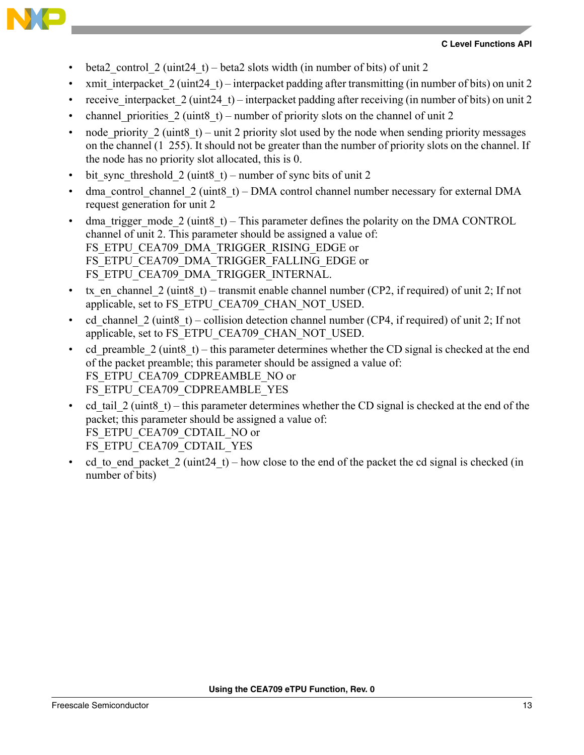

- beta2\_control\_2 (uint24\_t) beta2 slots width (in number of bits) of unit 2
- xmit interpacket  $2$  (uint24 t) interpacket padding after transmitting (in number of bits) on unit 2
- receive interpacket  $2$  (uint24 t) interpacket padding after receiving (in number of bits) on unit 2
- channel priorities  $2$  (uint8 t) number of priority slots on the channel of unit 2
- node priority 2 (uint8 t) unit 2 priority slot used by the node when sending priority messages on the channel (1 255). It should not be greater than the number of priority slots on the channel. If the node has no priority slot allocated, this is 0.
- bit sync threshold 2 (uint8 t) number of sync bits of unit 2
- dma\_control\_channel\_2 (uint8\_t) DMA control channel number necessary for external DMA request generation for unit 2
- dma trigger mode 2 (uint8 t) This parameter defines the polarity on the DMA CONTROL channel of unit 2. This parameter should be assigned a value of: FS\_ETPU\_CEA709\_DMA\_TRIGGER\_RISING\_EDGE or FS\_ETPU\_CEA709\_DMA\_TRIGGER\_FALLING\_EDGE or FS\_ETPU\_CEA709\_DMA\_TRIGGER\_INTERNAL.
- tx en channel 2 (uint8 t) transmit enable channel number (CP2, if required) of unit 2; If not applicable, set to FS\_ETPU\_CEA709\_CHAN\_NOT\_USED.
- cd channel 2 (uint8 t) collision detection channel number (CP4, if required) of unit 2; If not applicable, set to FS\_ETPU\_CEA709\_CHAN\_NOT\_USED.
- cd preamble  $2$  (uint8 t) this parameter determines whether the CD signal is checked at the end of the packet preamble; this parameter should be assigned a value of: FS\_ETPU\_CEA709\_CDPREAMBLE\_NO or FS ETPU CEA709 CDPREAMBLE YES
- cd tail  $2$  (uint8 t) this parameter determines whether the CD signal is checked at the end of the packet; this parameter should be assigned a value of: FS\_ETPU\_CEA709\_CDTAIL\_NO or FS ETPU CEA709 CDTAIL YES
- ed to end packet  $2$  (uint24 t) how close to the end of the packet the cd signal is checked (in number of bits)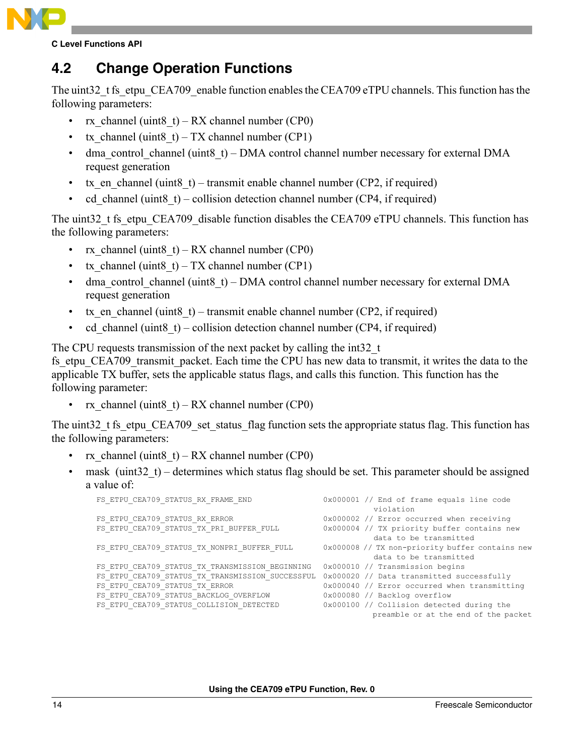

### <span id="page-13-0"></span>**4.2 Change Operation Functions**

The uint32 t fs etpu CEA709 enable function enables the CEA709 eTPU channels. This function has the following parameters:

- rx\_channel (uint8\_t) RX channel number (CP0)
- tx\_channel (uint8\_t) TX channel number (CP1)
- dma\_control\_channel (uint8\_t) DMA control channel number necessary for external DMA request generation
- tx en channel (uint8 t) transmit enable channel number (CP2, if required)
- $\text{cd}$  channel (uint8 t) collision detection channel number (CP4, if required)

The uint32 t fs etpu CEA709 disable function disables the CEA709 eTPU channels. This function has the following parameters:

- rx\_channel (uint8\_t) RX channel number (CP0)
- tx channel (uint8 t) TX channel number (CP1)
- dma\_control\_channel (uint8\_t) DMA control channel number necessary for external DMA request generation
- tx\_en\_channel (uint8\_t) transmit enable channel number (CP2, if required)
- $\text{cd}$  channel (uint8 t) collision detection channel number (CP4, if required)

The CPU requests transmission of the next packet by calling the int32 t

fs\_etpu\_CEA709\_transmit\_packet. Each time the CPU has new data to transmit, it writes the data to the applicable TX buffer, sets the applicable status flags, and calls this function. This function has the following parameter:

rx\_channel (uint8\_t) – RX channel number (CP0)

The uint32 t fs etpu CEA709 set status flag function sets the appropriate status flag. This function has the following parameters:

- rx\_channel (uint8\_t) RX channel number (CP0)
- mask (uint 32 $t$ ) determines which status flag should be set. This parameter should be assigned a value of:

| FS ETPU CEA709 STATUS RX FRAME END               | 0x000001 // End of frame equals line code       |
|--------------------------------------------------|-------------------------------------------------|
|                                                  | violation                                       |
| FS ETPU CEA709 STATUS RX ERROR                   | 0x000002 // Error occurred when receiving       |
| FS ETPU CEA709 STATUS TX PRI BUFFER FULL         | 0x000004 // TX priority buffer contains new     |
|                                                  | data to be transmitted                          |
| FS ETPU CEA709 STATUS TX NONPRI BUFFER FULL      | 0x000008 // TX non-priority buffer contains new |
|                                                  | data to be transmitted                          |
| FS ETPU CEA709 STATUS TX TRANSMISSION BEGINNING  | 0x000010 // Transmission begins                 |
| FS ETPU CEA709 STATUS TX TRANSMISSION SUCCESSFUL | 0x000020 // Data transmitted successfully       |
| FS ETPU CEA709 STATUS TX ERROR                   | 0x000040 // Error occurred when transmitting    |
| FS ETPU CEA709 STATUS BACKLOG OVERFLOW           | 0x000080 // Backlog overflow                    |
| FS ETPU CEA709 STATUS COLLISION DETECTED         | 0x000100 // Collision detected during the       |
|                                                  | preamble or at the end of the packet            |

**Using the CEA709 eTPU Function, Rev. 0**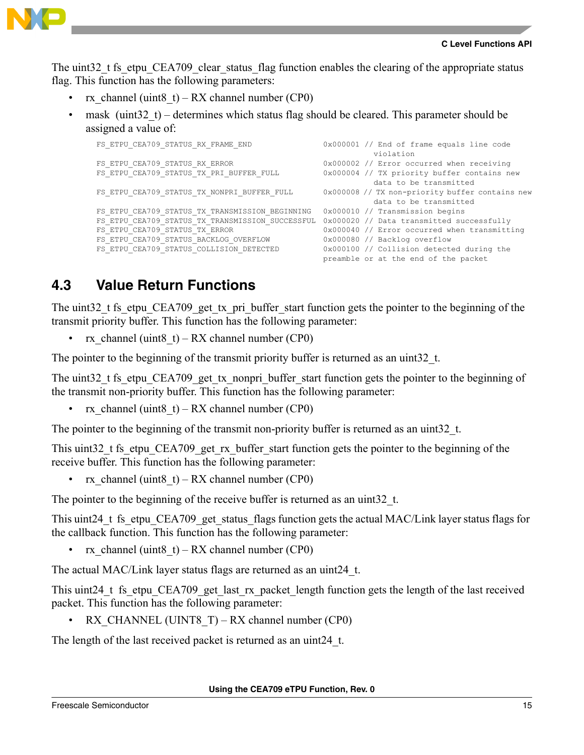



The uint32 t fs etpu CEA709 clear status flag function enables the clearing of the appropriate status flag. This function has the following parameters:

- rx\_channel (uint8\_t) RX channel number (CP0)
- mask (uint 32 $t$ ) determines which status flag should be cleared. This parameter should be assigned a value of:

| FS ETPU CEA709 STATUS RX FRAME END               | 0x000001 // End of frame equals line code<br>violation |
|--------------------------------------------------|--------------------------------------------------------|
| FS ETPU CEA709 STATUS RX ERROR                   | 0x000002 // Error occurred when receiving              |
| FS ETPU CEA709 STATUS TX PRI BUFFER FULL         | 0x000004 // TX priority buffer contains new            |
|                                                  | data to be transmitted                                 |
| FS ETPU CEA709 STATUS TX NONPRI BUFFER FULL      | 0x000008 // TX non-priority buffer contains new        |
|                                                  | data to be transmitted                                 |
| FS ETPU CEA709 STATUS TX TRANSMISSION BEGINNING  | 0x000010 // Transmission begins                        |
| FS ETPU CEA709 STATUS TX TRANSMISSION SUCCESSFUL | 0x000020 // Data transmitted successfully              |
| FS ETPU CEA709 STATUS TX ERROR                   | 0x000040 // Error occurred when transmitting           |
| FS ETPU CEA709 STATUS BACKLOG OVERFLOW           | $0x000080$ //<br>Backlog overflow                      |
| FS ETPU CEA709 STATUS COLLISION DETECTED         | 0x000100 // Collision detected during the              |
|                                                  | preamble or at the end of the packet                   |
|                                                  |                                                        |

### <span id="page-14-0"></span>**4.3 Value Return Functions**

The uint32 t fs etpu CEA709 get tx pri buffer start function gets the pointer to the beginning of the transmit priority buffer. This function has the following parameter:

rx\_channel (uint8\_t) – RX channel number (CP0)

The pointer to the beginning of the transmit priority buffer is returned as an uint32 t.

The uint32 t fs etpu CEA709 get tx nonpri buffer start function gets the pointer to the beginning of the transmit non-priority buffer. This function has the following parameter:

• rx\_channel (uint8\_t) – RX channel number (CP0)

The pointer to the beginning of the transmit non-priority buffer is returned as an uint32 t.

This uint 32 t fs etpu CEA709 get rx buffer start function gets the pointer to the beginning of the receive buffer. This function has the following parameter:

rx\_channel (uint8\_t) – RX channel number (CP0)

The pointer to the beginning of the receive buffer is returned as an uint32 t.

This uint 24 t fs etpu CEA709 get status flags function gets the actual MAC/Link layer status flags for the callback function. This function has the following parameter:

rx\_channel (uint8\_t) – RX channel number (CP0)

The actual MAC/Link layer status flags are returned as an uint24 t.

This uint 24 t fs etpu CEA709 get last rx packet length function gets the length of the last received packet. This function has the following parameter:

RX\_CHANNEL (UINT8\_T) – RX channel number (CP0)

The length of the last received packet is returned as an uint 24 t.

**Using the CEA709 eTPU Function, Rev. 0**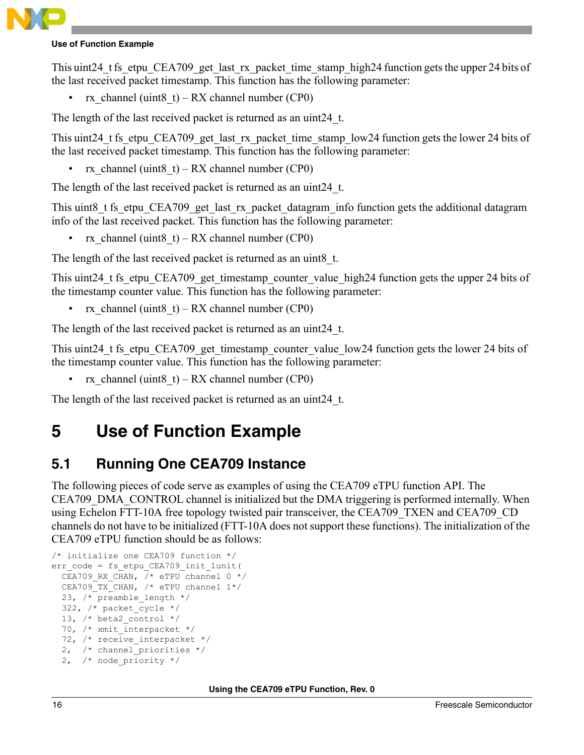#### **Use of Function Example**

This uint 24 t fs\_etpu\_CEA709\_get\_last\_rx\_packet\_time\_stamp\_high 24 function gets the upper 24 bits of the last received packet timestamp. This function has the following parameter:

• rx channel (uint8 t) – RX channel number (CP0)

The length of the last received packet is returned as an uint 24 t.

This uint 24 t fs\_etpu\_CEA709\_get\_last\_rx\_packet\_time\_stamp\_low24 function gets the lower 24 bits of the last received packet timestamp. This function has the following parameter:

• rx\_channel (uint8\_t) – RX channel number (CP0)

The length of the last received packet is returned as an uint24 t.

This uint8 t fs\_etpu\_CEA709\_get\_last\_rx\_packet\_datagram\_info function gets the additional datagram info of the last received packet. This function has the following parameter:

rx\_channel (uint8\_t) – RX channel number (CP0)

The length of the last received packet is returned as an uint8 t.

This uint 24 t fs etpu CEA709 get timestamp counter value high 24 function gets the upper 24 bits of the timestamp counter value. This function has the following parameter:

• rx\_channel (uint8\_t) – RX channel number (CP0)

The length of the last received packet is returned as an uint 24 t.

This uint 24 t fs etpu CEA709 get timestamp counter value low 24 function gets the lower 24 bits of the timestamp counter value. This function has the following parameter:

rx\_channel (uint8\_t) – RX channel number (CP0)

The length of the last received packet is returned as an uint24 t.

## <span id="page-15-0"></span>**5 Use of Function Example**

### <span id="page-15-1"></span>**5.1 Running One CEA709 Instance**

The following pieces of code serve as examples of using the CEA709 eTPU function API. The CEA709\_DMA\_CONTROL channel is initialized but the DMA triggering is performed internally. When using Echelon FTT-10A free topology twisted pair transceiver, the CEA709\_TXEN and CEA709\_CD channels do not have to be initialized (FTT-10A does not support these functions). The initialization of the CEA709 eTPU function should be as follows:

```
/* initialize one CEA709 function */
err code = fs_etpu_CEA709_init_1unit(
  CEA709 RX CHAN, /* eTPU channel 0 */
  CEA709 TX CHAN, /* eTPU channel 1*/23, /\sqrt{p^2} preamble length \sqrt{k}322, /* packet cycle */13, /* beta2 control */ 70, /* xmit_interpacket */
   72, /* receive_interpacket */
   2, /* channel_priorities */
   2, /* node_priority */
```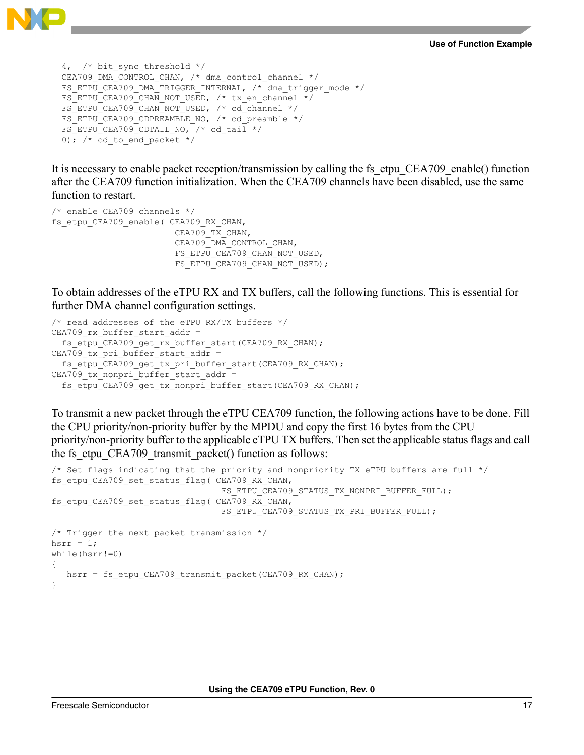

```
4, /* bit sync threshold */CEA709 DMA_CONTROL_CHAN, /* dma_control_channel */
FS ETPU CEA709 DMA TRIGGER INTERNAL, /* dma trigger mode */
FS_ETPU_CEA709_CHAN_NOT_USED, /* tx_en_channel */
FS ETPU CEA709 CHAN NOT USED, /* cd channel */FS_ETPU_CEA709_CDPREAMBLE_NO, /* cd_preamble */
FS ETPU CEA709 CDTAIL NO, /* cd tail */0); /* cd to end packet */
```
It is necessary to enable packet reception/transmission by calling the fs\_etpu\_CEA709\_enable() function after the CEA709 function initialization. When the CEA709 channels have been disabled, use the same function to restart.

```
/* enable CEA709 channels */
fs_etpu_CEA709_enable( CEA709 RX_CHAN,
                       CEA709 TX CHAN,
                        CEA709 DMA CONTROL CHAN,
                        FS_ETPU_CEA709_CHAN_NOT_USED,
                        FS_ETPU_CEA709_CHAN_NOT_USED);
```
To obtain addresses of the eTPU RX and TX buffers, call the following functions. This is essential for further DMA channel configuration settings.

```
/* read addresses of the eTPU RX/TX buffers */
CEA709 rx buffer start addr =
  fs_etpu_CEA709_get_rx_buffer_start(CEA709_RX_CHAN);
CEA709 tx pri buffer start addr =
  fs_etpu_CEA709_get_tx_pri_buffer_start(CEA709_RX_CHAN);
CEA709 tx nonpri buffer start addr =
  fs_etpu_CEA709_get_tx_nonpri_buffer_start(CEA709_RX_CHAN);
```
To transmit a new packet through the eTPU CEA709 function, the following actions have to be done. Fill the CPU priority/non-priority buffer by the MPDU and copy the first 16 bytes from the CPU priority/non-priority buffer to the applicable eTPU TX buffers. Then set the applicable status flags and call the fs\_etpu\_CEA709\_transmit\_packet() function as follows:

```
/* Set flags indicating that the priority and nonpriority TX eTPU buffers are full */
fs etpu CEA709 set status flag( CEA709 RX CHAN,
                                 FS_ETPU_CEA709_STATUS_TX_NONPRI_BUFFER_FULL);
fs_etpu_CEA709_set_status_flag( CEA709_RX_CHAN, 
                                 FS_ETPU_CEA709_STATUS_TX_PRI_BUFFER_FULL);
/* Trigger the next packet transmission */
hsrr = 1;
while(hsrr!=0)
{
  hsrr = fs_etpu_CEA709_transmit_packet(CEA709_RX_CHAN);
}
```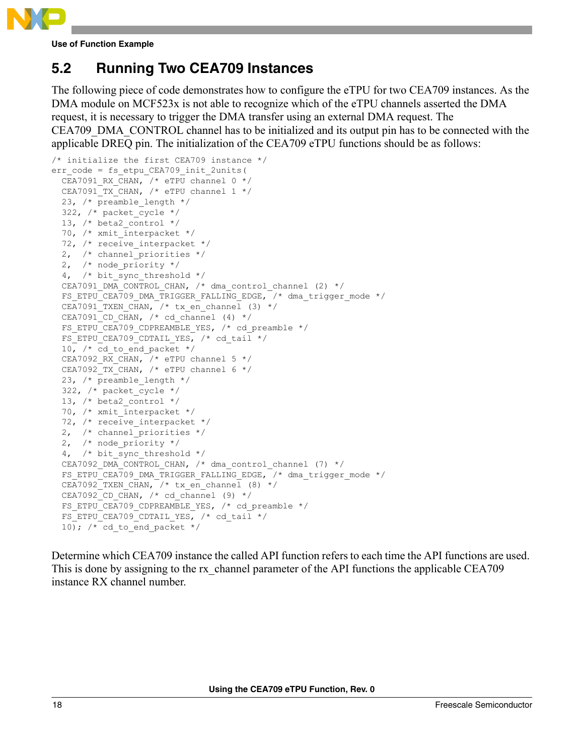

**Use of Function Example**

### <span id="page-17-0"></span>**5.2 Running Two CEA709 Instances**

The following piece of code demonstrates how to configure the eTPU for two CEA709 instances. As the DMA module on MCF523x is not able to recognize which of the eTPU channels asserted the DMA request, it is necessary to trigger the DMA transfer using an external DMA request. The CEA709\_DMA\_CONTROL channel has to be initialized and its output pin has to be connected with the applicable DREQ pin. The initialization of the CEA709 eTPU functions should be as follows:

```
/* initialize the first CEA709 instance */
err_code = fs_etpu_CEA709_init_2units(
  CEA7091 RX CHAN, /* eTPU channel 0 */
  CEA7091 TX CHAN, /* eTPU channel 1 */
  23, /* preamble_length */
  322, /* packet cycle */13, /* beta2 control */ 70, /* xmit_interpacket */
  72, /* receive interpacket */2, \frac{1}{2} channel priorities */
  2, /* node priority */4, /* bit sync threshold */CEA7091 DMA CONTROL CHAN, /* dma control channel (2) */
  FS ETPU CEA709 DMA TRIGGER FALLING EDGE, /* dma trigger mode */CEA7091 TXEN CHAN, /* tx en channel (3) */
  CEA7091 CD CHAN, /* cd channel (4) */
   FS_ETPU_CEA709_CDPREAMBLE_YES, /* cd_preamble */
  FS ETPU CEA709 CDTAIL YES, /* cd tail */10, /* cd to end packet */CEA7092 RX CHAN, /* eTPU channel 5 */CEA7092 TX CHAN, /* eTPU channel 6 */23, /* preamble length */ 322, /* packet_cycle */
  13, /* beta2 control */ 70, /* xmit_interpacket */
  72, /* receive interpacket */
   2, /* channel_priorities */
  2, /* node priority */4, /* bit sync threshold */CEA7092 DMA CONTROL CHAN, /* dma control channel (7) */
  FS_ETPU_CEA709_DMA_TRIGGER_FALLING_EDGE, /* dma_trigger_mode */
  CEA7092 TXEN CHAN, /* tx en channel (8) */
  CEA7092 CD CHAN, /* cd channel (9) */FS ETPU CEA709 CDPREAMBLE YES, /* cd preamble */FS ETPU CEA709 CDTAIL YES, /* cd tail */10); /* cd to end packet */
```
Determine which CEA709 instance the called API function refers to each time the API functions are used. This is done by assigning to the rx\_channel parameter of the API functions the applicable CEA709 instance RX channel number.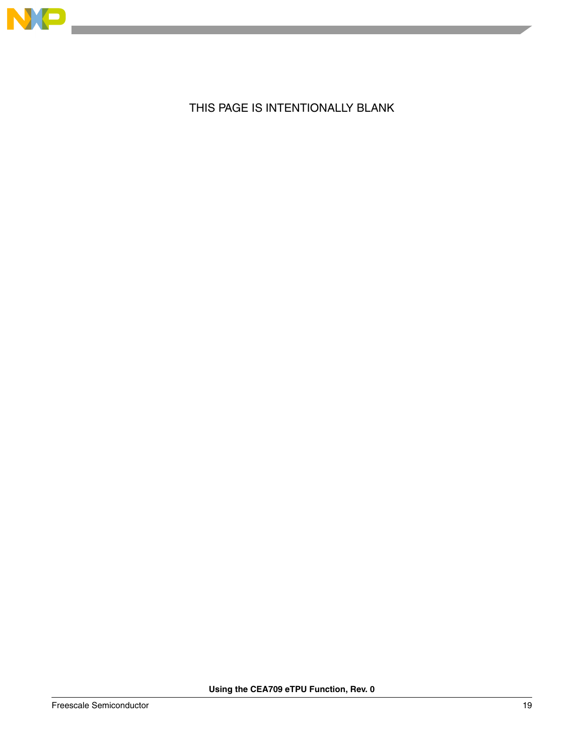

THIS PAGE IS INTENTIONALLY BLANK